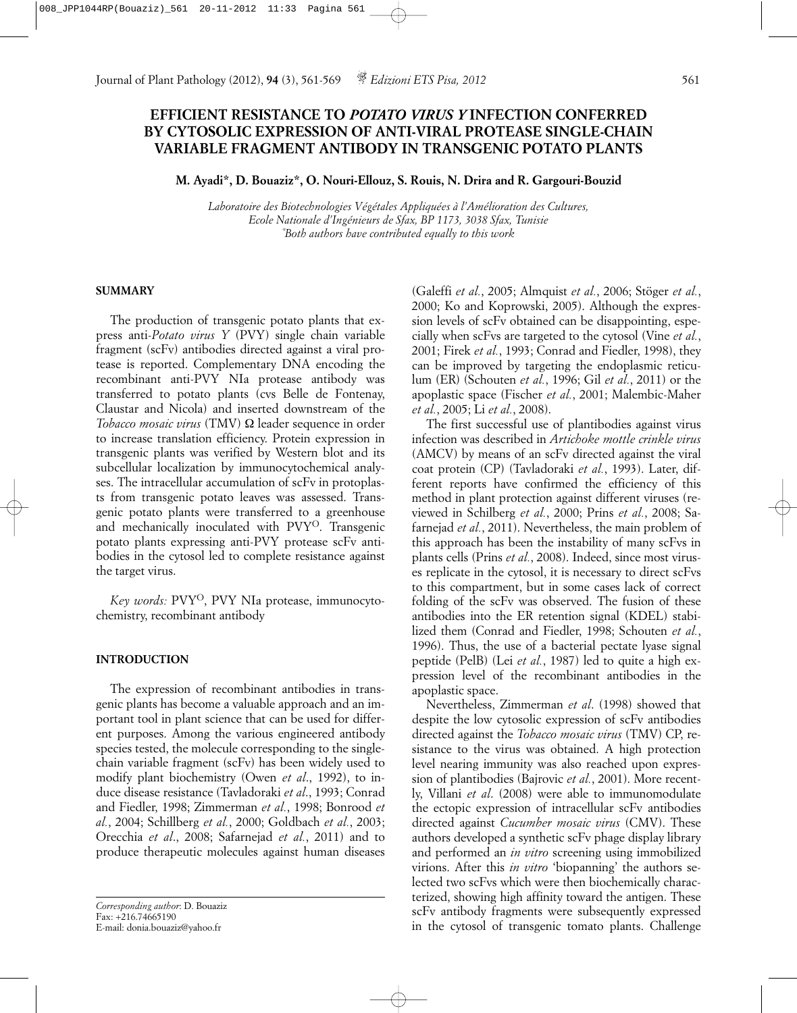# **EFFICIENT RESISTANCE TO** *POTATO VIRUS Y* **INFECTION CONFERRED BY CYTOSOLIC EXPRESSION OF ANTI-VIRAL PROTEASE SINGLE-CHAIN VARIABLE FRAGMENT ANTIBODY IN TRANSGENIC POTATO PLANTS**

**M. Ayadi\*, D. Bouaziz\*, O. Nouri-Ellouz, S. Rouis, N. Drira and R. Gargouri-Bouzid**

*Laboratoire des Biotechnologies Végétales Appliquées à l'Amélioration des Cultures, Ecole Nationale d'Ingénieurs de Sfax, BP 1173, 3038 Sfax, Tunisie \* Both authors have contributed equally to this work*

#### **SUMMARY**

The production of transgenic potato plants that express anti-*Potato virus Y* (PVY) single chain variable fragment (scFv) antibodies directed against a viral protease is reported. Complementary DNA encoding the recombinant anti-PVY NIa protease antibody was transferred to potato plants (cvs Belle de Fontenay, Claustar and Nicola) and inserted downstream of the *Tobacco mosaic virus* (TMV) Ω leader sequence in order to increase translation efficiency. Protein expression in transgenic plants was verified by Western blot and its subcellular localization by immunocytochemical analyses. The intracellular accumulation of scFv in protoplasts from transgenic potato leaves was assessed. Transgenic potato plants were transferred to a greenhouse and mechanically inoculated with PVYO. Transgenic potato plants expressing anti-PVY protease scFv antibodies in the cytosol led to complete resistance against the target virus.

Key words: PVY<sup>O</sup>, PVY NIa protease, immunocytochemistry, recombinant antibody

## **INTRODUCTION**

The expression of recombinant antibodies in transgenic plants has become a valuable approach and an important tool in plant science that can be used for different purposes. Among the various engineered antibody species tested, the molecule corresponding to the singlechain variable fragment (scFv) has been widely used to modify plant biochemistry (Owen *et al*., 1992), to induce disease resistance (Tavladoraki *et al*., 1993; Conrad and Fiedler, 1998; Zimmerman *et al.*, 1998; Bonrood *et al.*, 2004; Schillberg *et al.*, 2000; Goldbach *et al.*, 2003; Orecchia *et al*., 2008; Safarnejad *et al.*, 2011) and to produce therapeutic molecules against human diseases

(Galeffi *et al.*, 2005; Almquist *et al.*, 2006; Stöger *et al.*, 2000; Ko and Koprowski, 2005). Although the expression levels of scFv obtained can be disappointing, especially when scFvs are targeted to the cytosol (Vine *et al.*, 2001; Firek *et al.*, 1993; Conrad and Fiedler, 1998), they can be improved by targeting the endoplasmic reticulum (ER) (Schouten *et al.*, 1996; Gil *et al.*, 2011) or the apoplastic space (Fischer *et al.*, 2001; Malembic-Maher *et al.*, 2005; Li *et al.*, 2008).

The first successful use of plantibodies against virus infection was described in *Artichoke mottle crinkle virus* (AMCV) by means of an scFv directed against the viral coat protein (CP) (Tavladoraki *et al.*, 1993). Later, different reports have confirmed the efficiency of this method in plant protection against different viruses (reviewed in Schilberg *et al.*, 2000; Prins *et al.*, 2008; Safarnejad *et al.*, 2011). Nevertheless, the main problem of this approach has been the instability of many scFvs in plants cells (Prins *et al.*, 2008). Indeed, since most viruses replicate in the cytosol, it is necessary to direct scFvs to this compartment, but in some cases lack of correct folding of the scFv was observed. The fusion of these antibodies into the ER retention signal (KDEL) stabilized them (Conrad and Fiedler, 1998; Schouten *et al.*, 1996). Thus, the use of a bacterial pectate lyase signal peptide (PelB) (Lei *et al.*, 1987) led to quite a high expression level of the recombinant antibodies in the apoplastic space.

Nevertheless, Zimmerman *et al*. (1998) showed that despite the low cytosolic expression of scFv antibodies directed against the *Tobacco mosaic virus* (TMV) CP, resistance to the virus was obtained. A high protection level nearing immunity was also reached upon expression of plantibodies (Bajrovic *et al.*, 2001). More recently, Villani *et al*. (2008) were able to immunomodulate the ectopic expression of intracellular scFv antibodies directed against *Cucumber mosaic virus* (CMV). These authors developed a synthetic scFv phage display library and performed an *in vitro* screening using immobilized virions. After this *in vitro* 'biopanning' the authors selected two scFvs which were then biochemically characterized, showing high affinity toward the antigen. These scFv antibody fragments were subsequently expressed in the cytosol of transgenic tomato plants. Challenge

*Corresponding author*: D. Bouaziz  $Fax: +216.74665190$ E-mail: donia.bouaziz@yahoo.fr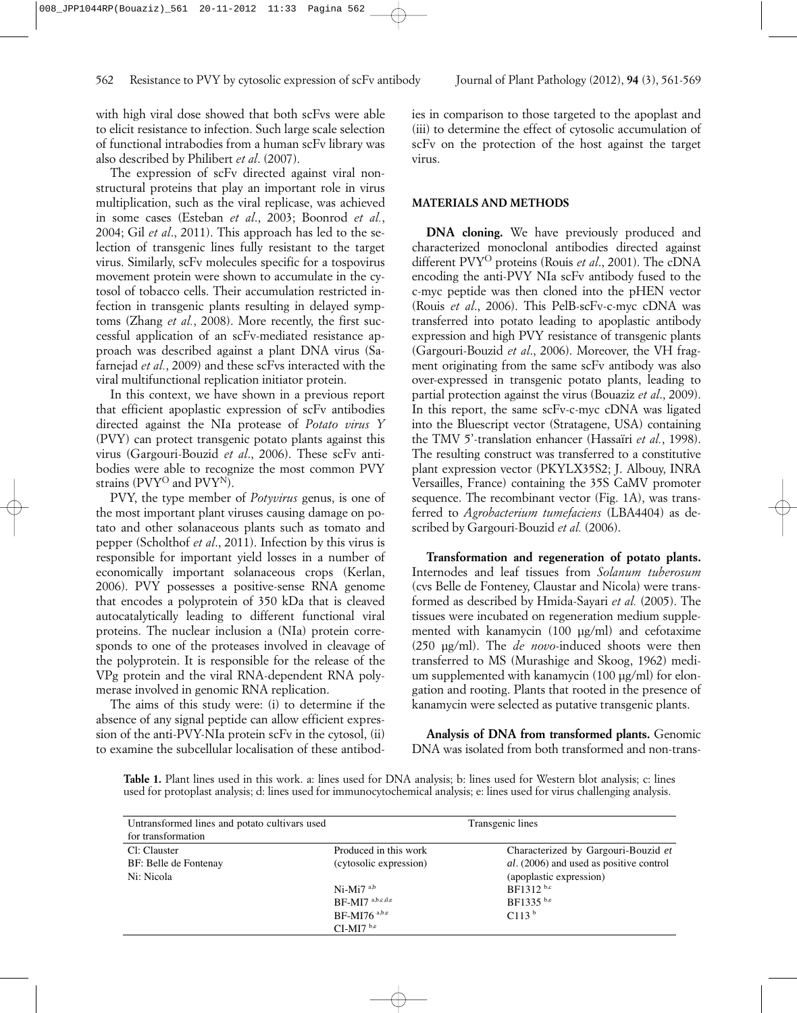with high viral dose showed that both scFvs were able to elicit resistance to infection. Such large scale selection of functional intrabodies from a human scFv library was also described by Philibert *et al*. (2007).

The expression of scFv directed against viral nonstructural proteins that play an important role in virus multiplication, such as the viral replicase, was achieved in some cases (Esteban *et al*., 2003; Boonrod *et al.*, 2004; Gil *et al*., 2011). This approach has led to the selection of transgenic lines fully resistant to the target virus. Similarly, scFv molecules specific for a tospovirus movement protein were shown to accumulate in the cytosol of tobacco cells. Their accumulation restricted infection in transgenic plants resulting in delayed symptoms (Zhang *et al.*, 2008). More recently, the first successful application of an scFv-mediated resistance approach was described against a plant DNA virus (Safarnejad *et al.*, 2009) and these scFvs interacted with the viral multifunctional replication initiator protein.

In this context, we have shown in a previous report that efficient apoplastic expression of scFv antibodies directed against the NIa protease of *Potato virus Y* (PVY) can protect transgenic potato plants against this virus (Gargouri-Bouzid *et al*., 2006). These scFv antibodies were able to recognize the most common PVY strains (PVY<sup>O</sup> and PVY<sup>N</sup>).

PVY, the type member of *Potyvirus* genus, is one of the most important plant viruses causing damage on potato and other solanaceous plants such as tomato and pepper (Scholthof *et al*., 2011). Infection by this virus is responsible for important yield losses in a number of economically important solanaceous crops (Kerlan, 2006). PVY possesses a positive-sense RNA genome that encodes a polyprotein of 350 kDa that is cleaved autocatalytically leading to different functional viral proteins. The nuclear inclusion a (NIa) protein corresponds to one of the proteases involved in cleavage of the polyprotein. It is responsible for the release of the VPg protein and the viral RNA-dependent RNA polymerase involved in genomic RNA replication.

The aims of this study were: (i) to determine if the absence of any signal peptide can allow efficient expression of the anti-PVY-NIa protein scFv in the cytosol, (ii) to examine the subcellular localisation of these antibodies in comparison to those targeted to the apoplast and (iii) to determine the effect of cytosolic accumulation of scFv on the protection of the host against the target virus.

### **MATERIALS AND METHODS**

**DNA cloning.** We have previously produced and characterized monoclonal antibodies directed against different PVYO proteins (Rouis *et al*., 2001). The cDNA encoding the anti-PVY NIa scFv antibody fused to the c-myc peptide was then cloned into the pHEN vector (Rouis *et al*., 2006). This PelB-scFv-c-myc cDNA was transferred into potato leading to apoplastic antibody expression and high PVY resistance of transgenic plants (Gargouri-Bouzid *et al*., 2006). Moreover, the VH fragment originating from the same scFv antibody was also over-expressed in transgenic potato plants, leading to partial protection against the virus (Bouaziz *et al*., 2009). In this report, the same scFv-c-myc cDNA was ligated into the Bluescript vector (Stratagene, USA) containing the TMV 5'-translation enhancer (Hassaïri *et al.*, 1998). The resulting construct was transferred to a constitutive plant expression vector (PKYLX35S2; J. Albouy, INRA Versailles, France) containing the 35S CaMV promoter sequence. The recombinant vector (Fig. 1A), was transferred to *Agrobacterium tumefaciens* (LBA4404) as described by Gargouri-Bouzid *et al.* (2006).

**Transformation and regeneration of potato plants.** Internodes and leaf tissues from *Solanum tuberosum* (cvs Belle de Fonteney, Claustar and Nicola) were transformed as described by Hmida-Sayari *et al.* (2005). The tissues were incubated on regeneration medium supplemented with kanamycin (100 µg/ml) and cefotaxime (250 µg/ml). The *de novo*-induced shoots were then transferred to MS (Murashige and Skoog, 1962) medium supplemented with kanamycin (100 µg/ml) for elongation and rooting. Plants that rooted in the presence of kanamycin were selected as putative transgenic plants.

**Analysis of DNA from transformed plants.** Genomic DNA was isolated from both transformed and non-trans-

**Table 1.** Plant lines used in this work. a: lines used for DNA analysis; b: lines used for Western blot analysis; c: lines used for protoplast analysis; d: lines used for immunocytochemical analysis; e: lines used for virus challenging analysis.

| Untransformed lines and potato cultivars used |                          | Transgenic lines                        |  |
|-----------------------------------------------|--------------------------|-----------------------------------------|--|
| for transformation                            |                          |                                         |  |
| Cl: Clauster                                  | Produced in this work    | Characterized by Gargouri-Bouzid et     |  |
| BF: Belle de Fontenay                         | (cytosolic expression)   | al. (2006) and used as positive control |  |
| Ni: Nicola                                    |                          | (apoplastic expression)                 |  |
|                                               | $Ni-Mi7a,b$              | BF1312 b,c                              |  |
|                                               | $BF-MI7^{a,b,c,d,e}$     | BF1335 b,e                              |  |
|                                               | BF-MI76 <sup>a,b,e</sup> | C113 <sup>b</sup>                       |  |
|                                               | $CI-MI7b,e$              |                                         |  |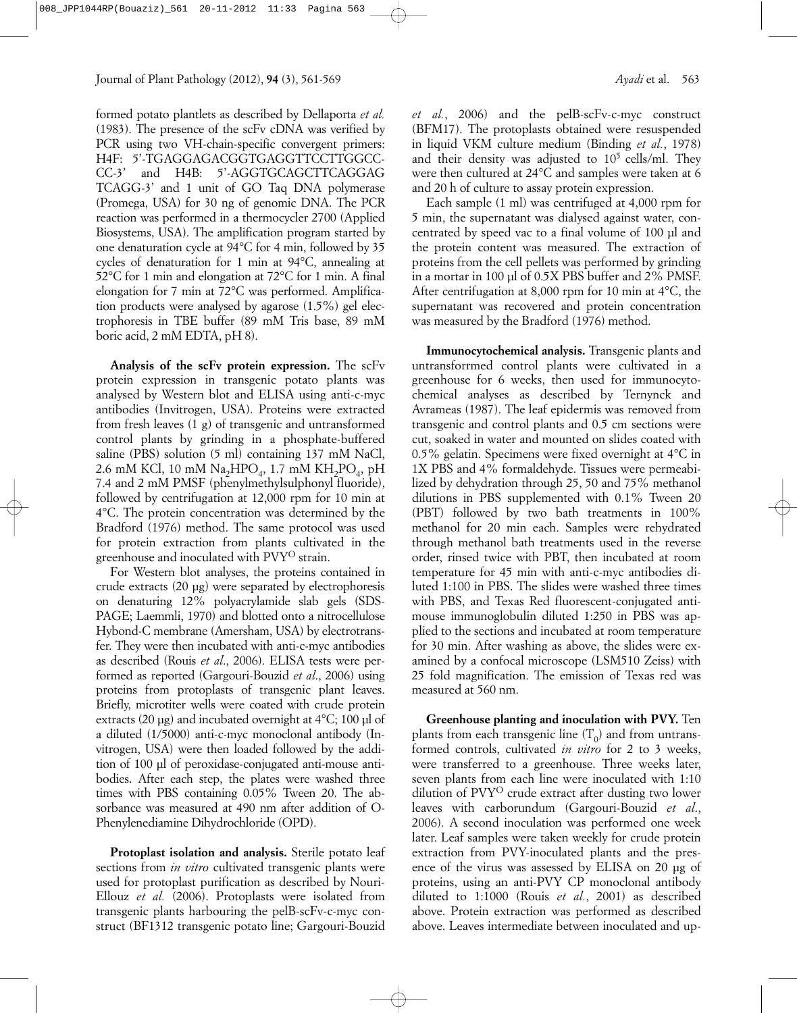formed potato plantlets as described by Dellaporta *et al.* (1983). The presence of the scFv cDNA was verified by PCR using two VH-chain-specific convergent primers: H4F: 5'-TGAGGAGACGGTGAGGTTCCTTGGCC-CC-3' and H4B: 5'-AGGTGCAGCTTCAGGAG TCAGG-3' and 1 unit of GO Taq DNA polymerase (Promega, USA) for 30 ng of genomic DNA. The PCR reaction was performed in a thermocycler 2700 (Applied Biosystems, USA). The amplification program started by one denaturation cycle at 94°C for 4 min, followed by 35 cycles of denaturation for 1 min at 94°C, annealing at 52°C for 1 min and elongation at 72°C for 1 min. A final elongation for 7 min at 72°C was performed. Amplification products were analysed by agarose (1.5%) gel electrophoresis in TBE buffer (89 mM Tris base, 89 mM boric acid, 2 mM EDTA, pH 8).

**Analysis of the scFv protein expression.** The scFv protein expression in transgenic potato plants was analysed by Western blot and ELISA using anti-c-myc antibodies (Invitrogen, USA). Proteins were extracted from fresh leaves (1 g) of transgenic and untransformed control plants by grinding in a phosphate-buffered saline (PBS) solution (5 ml) containing 137 mM NaCl, 2.6 mM KCl, 10 mM  $Na<sub>2</sub>HPO<sub>4</sub>$ , 1.7 mM  $KH<sub>2</sub>PO<sub>4</sub>$ , pH 7.4 and 2 mM PMSF (phenylmethylsulphonyl fluoride), followed by centrifugation at 12,000 rpm for 10 min at 4°C. The protein concentration was determined by the Bradford (1976) method. The same protocol was used for protein extraction from plants cultivated in the greenhouse and inoculated with PVYO strain.

For Western blot analyses, the proteins contained in crude extracts (20 µg) were separated by electrophoresis on denaturing 12% polyacrylamide slab gels (SDS-PAGE; Laemmli, 1970) and blotted onto a nitrocellulose Hybond-C membrane (Amersham, USA) by electrotransfer. They were then incubated with anti-c-myc antibodies as described (Rouis *et al*., 2006). ELISA tests were performed as reported (Gargouri-Bouzid *et al*., 2006) using proteins from protoplasts of transgenic plant leaves. Briefly, microtiter wells were coated with crude protein extracts (20  $\mu$ g) and incubated overnight at 4°C; 100  $\mu$ l of a diluted (1/5000) anti-c-myc monoclonal antibody (Invitrogen, USA) were then loaded followed by the addition of 100 µl of peroxidase-conjugated anti-mouse antibodies. After each step, the plates were washed three times with PBS containing 0.05% Tween 20. The absorbance was measured at 490 nm after addition of O-Phenylenediamine Dihydrochloride (OPD).

**Protoplast isolation and analysis.** Sterile potato leaf sections from *in vitro* cultivated transgenic plants were used for protoplast purification as described by Nouri-Ellouz *et al.* (2006). Protoplasts were isolated from transgenic plants harbouring the pelB-scFv-c-myc construct (BF1312 transgenic potato line; Gargouri-Bouzid

*et al.*, 2006) and the pelB-scFv-c-myc construct (BFM17). The protoplasts obtained were resuspended in liquid VKM culture medium (Binding *et al.*, 1978) and their density was adjusted to  $10^5$  cells/ml. They were then cultured at 24°C and samples were taken at 6 and 20 h of culture to assay protein expression.

Each sample (1 ml) was centrifuged at 4,000 rpm for 5 min, the supernatant was dialysed against water, concentrated by speed vac to a final volume of 100 µl and the protein content was measured. The extraction of proteins from the cell pellets was performed by grinding in a mortar in 100 µl of 0.5X PBS buffer and 2% PMSF. After centrifugation at 8,000 rpm for 10 min at 4°C, the supernatant was recovered and protein concentration was measured by the Bradford (1976) method.

**Immunocytochemical analysis.** Transgenic plants and untransforrmed control plants were cultivated in a greenhouse for 6 weeks, then used for immunocytochemical analyses as described by Ternynck and Avrameas (1987). The leaf epidermis was removed from transgenic and control plants and 0.5 cm sections were cut, soaked in water and mounted on slides coated with 0.5% gelatin. Specimens were fixed overnight at 4°C in 1X PBS and 4% formaldehyde. Tissues were permeabilized by dehydration through 25, 50 and 75% methanol dilutions in PBS supplemented with 0.1% Tween 20 (PBT) followed by two bath treatments in 100% methanol for 20 min each. Samples were rehydrated through methanol bath treatments used in the reverse order, rinsed twice with PBT, then incubated at room temperature for 45 min with anti-c-myc antibodies diluted 1:100 in PBS. The slides were washed three times with PBS, and Texas Red fluorescent-conjugated antimouse immunoglobulin diluted 1:250 in PBS was applied to the sections and incubated at room temperature for 30 min. After washing as above, the slides were examined by a confocal microscope (LSM510 Zeiss) with 25 fold magnification. The emission of Texas red was measured at 560 nm.

**Greenhouse planting and inoculation with PVY.** Ten plants from each transgenic line  $(T_0)$  and from untransformed controls, cultivated *in vitro* for 2 to 3 weeks, were transferred to a greenhouse. Three weeks later, seven plants from each line were inoculated with 1:10 dilution of PVY<sup>O</sup> crude extract after dusting two lower leaves with carborundum (Gargouri-Bouzid *et al*., 2006). A second inoculation was performed one week later. Leaf samples were taken weekly for crude protein extraction from PVY-inoculated plants and the presence of the virus was assessed by ELISA on 20 µg of proteins, using an anti-PVY CP monoclonal antibody diluted to 1:1000 (Rouis *et al.*, 2001) as described above. Protein extraction was performed as described above. Leaves intermediate between inoculated and up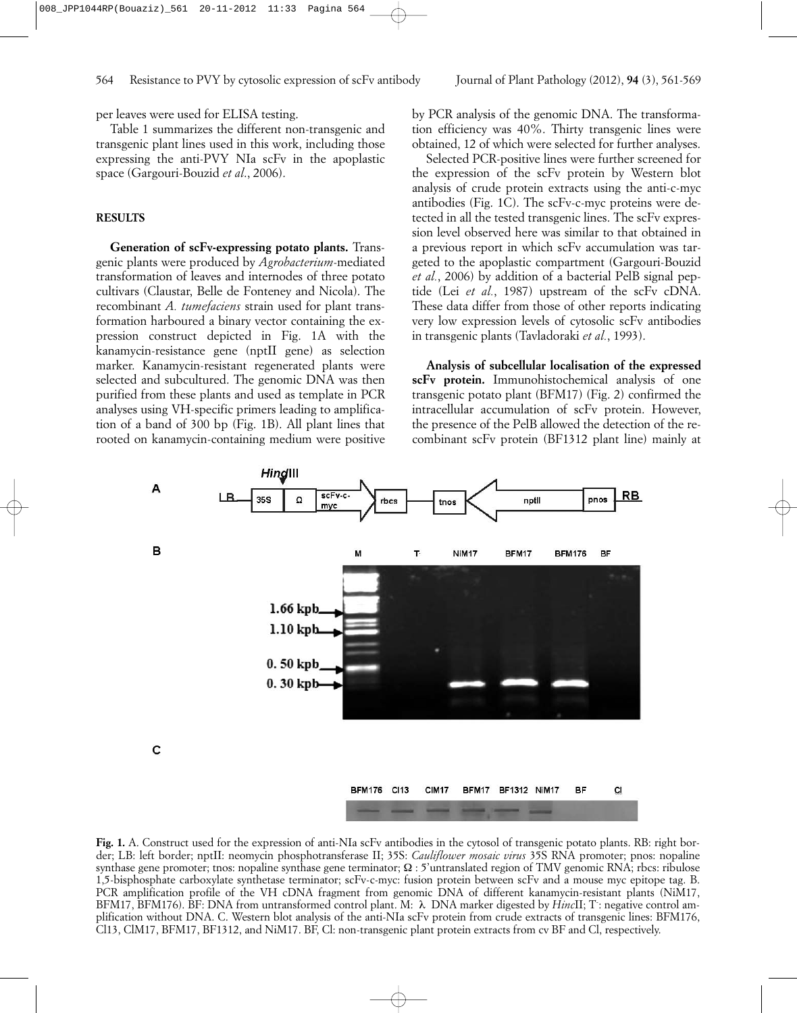per leaves were used for ELISA testing.

Table 1 summarizes the different non-transgenic and transgenic plant lines used in this work, including those expressing the anti-PVY NIa scFv in the apoplastic space (Gargouri-Bouzid *et al*., 2006).

# **RESULTS**

**Generation of scFv-expressing potato plants.** Transgenic plants were produced by *Agrobacterium*-mediated transformation of leaves and internodes of three potato cultivars (Claustar, Belle de Fonteney and Nicola). The recombinant *A. tumefaciens* strain used for plant transformation harboured a binary vector containing the expression construct depicted in Fig. 1A with the kanamycin-resistance gene (nptII gene) as selection marker. Kanamycin-resistant regenerated plants were selected and subcultured. The genomic DNA was then purified from these plants and used as template in PCR analyses using VH-specific primers leading to amplification of a band of 300 bp (Fig. 1B). All plant lines that rooted on kanamycin-containing medium were positive

by PCR analysis of the genomic DNA. The transformation efficiency was 40%. Thirty transgenic lines were obtained, 12 of which were selected for further analyses.

Selected PCR-positive lines were further screened for the expression of the scFv protein by Western blot analysis of crude protein extracts using the anti-c-myc antibodies (Fig. 1C). The scFv-c-myc proteins were detected in all the tested transgenic lines. The scFv expression level observed here was similar to that obtained in a previous report in which scFv accumulation was targeted to the apoplastic compartment (Gargouri-Bouzid *et al.*, 2006) by addition of a bacterial PelB signal peptide (Lei *et al.*, 1987) upstream of the scFv cDNA. These data differ from those of other reports indicating very low expression levels of cytosolic scFv antibodies in transgenic plants (Tavladoraki *et al.*, 1993).

**Analysis of subcellular localisation of the expressed scFv protein.** Immunohistochemical analysis of one transgenic potato plant (BFM17) (Fig. 2) confirmed the intracellular accumulation of scFv protein. However, the presence of the PelB allowed the detection of the recombinant scFv protein (BF1312 plant line) mainly at



**Fig. 1.** A. Construct used for the expression of anti-NIa scFv antibodies in the cytosol of transgenic potato plants. RB: right border; LB: left border; nptII: neomycin phosphotransferase II; 35S: *Cauliflower mosaic virus* 35S RNA promoter; pnos: nopaline synthase gene promoter; tnos: nopaline synthase gene terminator;  $\Omega$  : 5'untranslated region of TMV genomic RNA; rbcs: ribulose 1,5-bisphosphate carboxylate synthetase terminator; scFv-c-myc: fusion protein between scFv and a mouse myc epitope tag. B. PCR amplification profile of the VH cDNA fragment from genomic DNA of different kanamycin-resistant plants (NiM17, BFM17, BFM176). BF: DNA from untransformed control plant. M: λ DNA marker digested by *Hinc*II; T: negative control amplification without DNA. C. Western blot analysis of the anti-NIa scFv protein from crude extracts of transgenic lines: BFM176, Cl13, ClM17, BFM17, BF1312, and NiM17. BF, Cl: non-transgenic plant protein extracts from cv BF and Cl, respectively.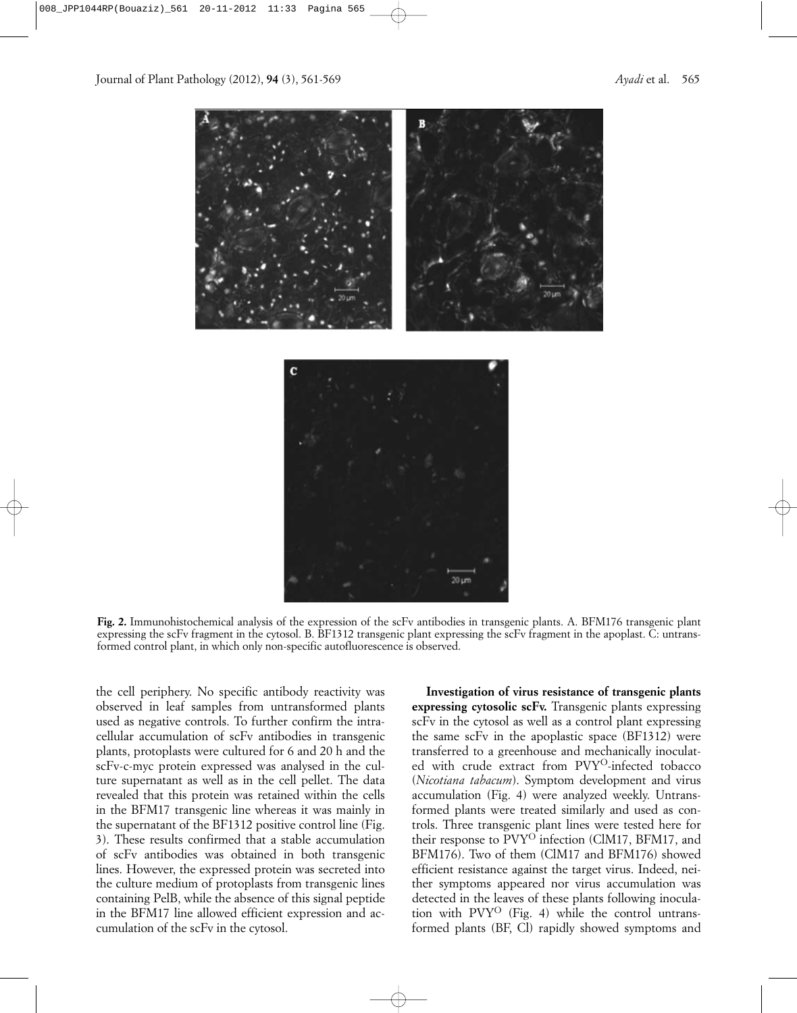

**Fig. 2.** Immunohistochemical analysis of the expression of the scFv antibodies in transgenic plants. A. BFM176 transgenic plant expressing the scFv fragment in the cytosol. B. BF1312 transgenic plant expressing the scFv fragment in the apoplast. C: untransformed control plant, in which only non-specific autofluorescence is observed.

the cell periphery. No specific antibody reactivity was observed in leaf samples from untransformed plants used as negative controls. To further confirm the intracellular accumulation of scFv antibodies in transgenic plants, protoplasts were cultured for 6 and 20 h and the scFv-c-myc protein expressed was analysed in the culture supernatant as well as in the cell pellet. The data revealed that this protein was retained within the cells in the BFM17 transgenic line whereas it was mainly in the supernatant of the BF1312 positive control line (Fig. 3). These results confirmed that a stable accumulation of scFv antibodies was obtained in both transgenic lines. However, the expressed protein was secreted into the culture medium of protoplasts from transgenic lines containing PelB, while the absence of this signal peptide in the BFM17 line allowed efficient expression and accumulation of the scFv in the cytosol.

**Investigation of virus resistance of transgenic plants expressing cytosolic scFv.** Transgenic plants expressing scFv in the cytosol as well as a control plant expressing the same scFv in the apoplastic space (BF1312) were transferred to a greenhouse and mechanically inoculated with crude extract from PVY<sup>O</sup>-infected tobacco (*Nicotiana tabacum*). Symptom development and virus accumulation (Fig. 4) were analyzed weekly. Untransformed plants were treated similarly and used as controls. Three transgenic plant lines were tested here for their response to PVY<sup>O</sup> infection (ClM17, BFM17, and BFM176). Two of them (ClM17 and BFM176) showed efficient resistance against the target virus. Indeed, neither symptoms appeared nor virus accumulation was detected in the leaves of these plants following inoculation with PVY<sup>O</sup> (Fig. 4) while the control untransformed plants (BF, Cl) rapidly showed symptoms and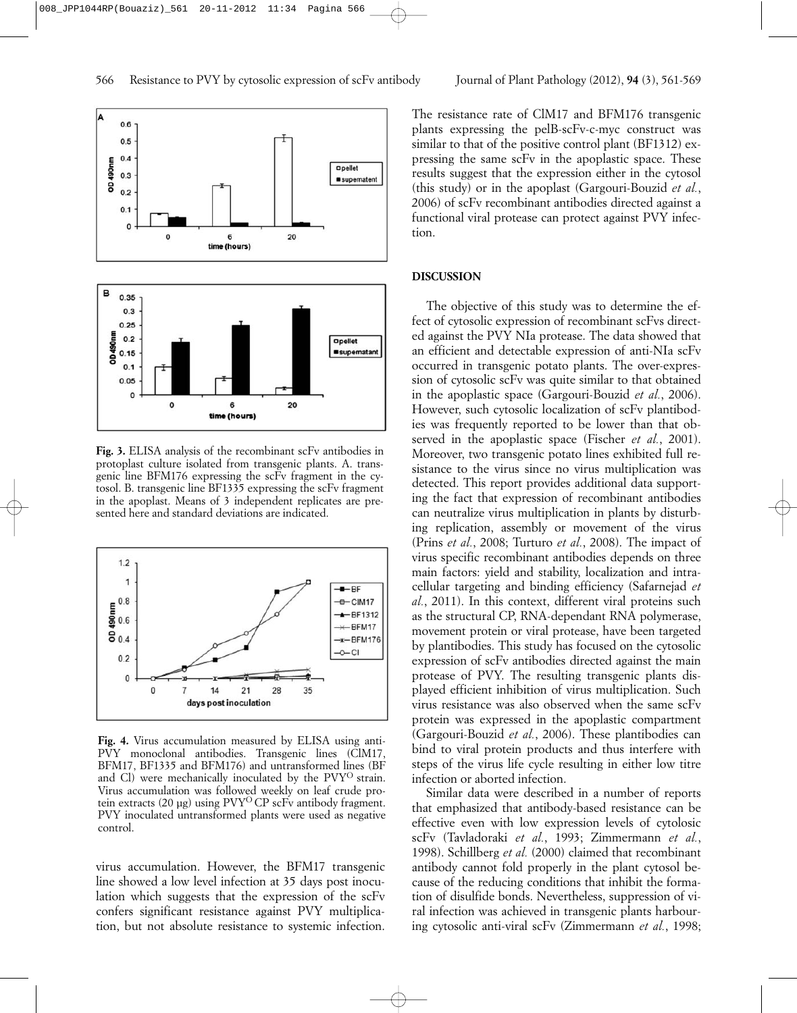

**Fig. 3.** ELISA analysis of the recombinant scFv antibodies in protoplast culture isolated from transgenic plants. A. transgenic line BFM176 expressing the scFv fragment in the cytosol. B. transgenic line BF1335 expressing the scFv fragment in the apoplast. Means of 3 independent replicates are presented here and standard deviations are indicated.



**Fig. 4.** Virus accumulation measured by ELISA using anti-PVY monoclonal antibodies. Transgenic lines (ClM17, BFM17, BF1335 and BFM176) and untransformed lines (BF and Cl) were mechanically inoculated by the PVY<sup>O</sup> strain. Virus accumulation was followed weekly on leaf crude protein extracts (20 µg) using PVY<sup>O</sup>CP scFv antibody fragment. PVY inoculated untransformed plants were used as negative control.

virus accumulation. However, the BFM17 transgenic line showed a low level infection at 35 days post inoculation which suggests that the expression of the scFv confers significant resistance against PVY multiplication, but not absolute resistance to systemic infection.

The resistance rate of ClM17 and BFM176 transgenic plants expressing the pelB-scFv-c-myc construct was similar to that of the positive control plant (BF1312) expressing the same scFv in the apoplastic space. These results suggest that the expression either in the cytosol (this study) or in the apoplast (Gargouri-Bouzid *et al.*, 2006) of scFv recombinant antibodies directed against a functional viral protease can protect against PVY infection.

### **DISCUSSION**

The objective of this study was to determine the effect of cytosolic expression of recombinant scFvs directed against the PVY NIa protease. The data showed that an efficient and detectable expression of anti-NIa scFv occurred in transgenic potato plants. The over-expression of cytosolic scFv was quite similar to that obtained in the apoplastic space (Gargouri-Bouzid *et al.*, 2006). However, such cytosolic localization of scFv plantibodies was frequently reported to be lower than that observed in the apoplastic space (Fischer *et al.*, 2001). Moreover, two transgenic potato lines exhibited full resistance to the virus since no virus multiplication was detected. This report provides additional data supporting the fact that expression of recombinant antibodies can neutralize virus multiplication in plants by disturbing replication, assembly or movement of the virus (Prins *et al.*, 2008; Turturo *et al.*, 2008). The impact of virus specific recombinant antibodies depends on three main factors: yield and stability, localization and intracellular targeting and binding efficiency (Safarnejad *et al.*, 2011). In this context, different viral proteins such as the structural CP, RNA-dependant RNA polymerase, movement protein or viral protease, have been targeted by plantibodies. This study has focused on the cytosolic expression of scFv antibodies directed against the main protease of PVY. The resulting transgenic plants displayed efficient inhibition of virus multiplication. Such virus resistance was also observed when the same scFv protein was expressed in the apoplastic compartment (Gargouri-Bouzid *et al.*, 2006). These plantibodies can bind to viral protein products and thus interfere with steps of the virus life cycle resulting in either low titre infection or aborted infection.

Similar data were described in a number of reports that emphasized that antibody-based resistance can be effective even with low expression levels of cytolosic scFv (Tavladoraki *et al.*, 1993; Zimmermann *et al.*, 1998). Schillberg *et al.* (2000) claimed that recombinant antibody cannot fold properly in the plant cytosol because of the reducing conditions that inhibit the formation of disulfide bonds. Nevertheless, suppression of viral infection was achieved in transgenic plants harbouring cytosolic anti-viral scFv (Zimmermann *et al.*, 1998;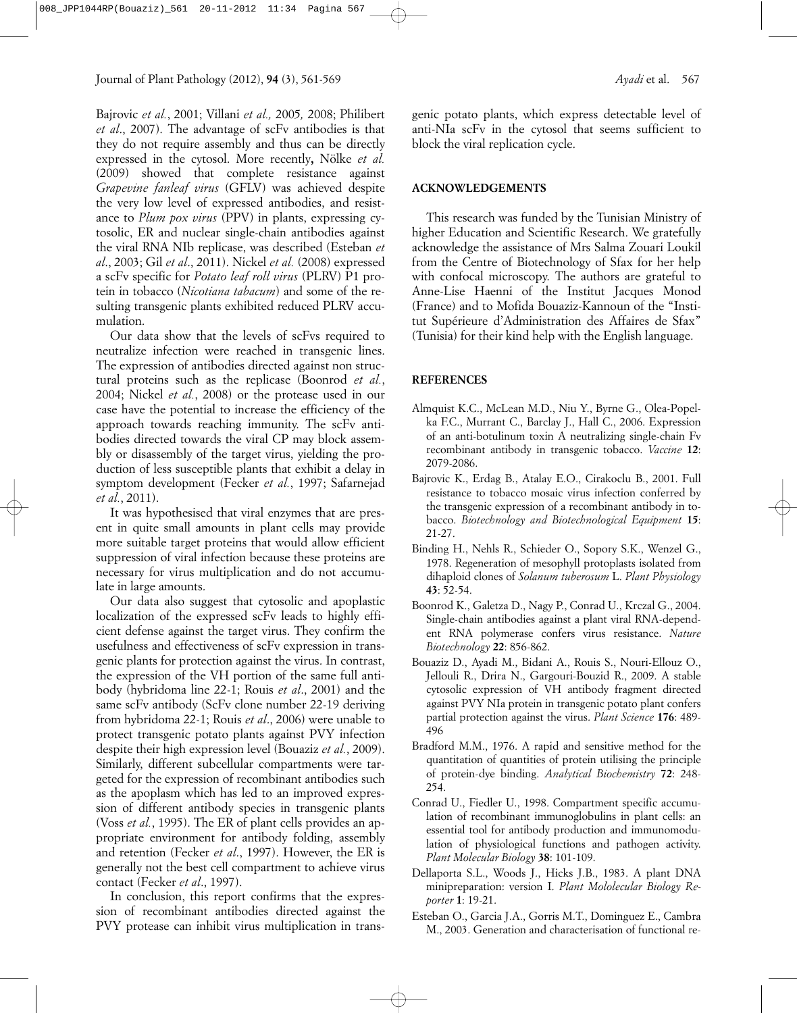Bajrovic *et al.*, 2001; Villani *et al.,* 2005*,* 2008; Philibert *et al*., 2007). The advantage of scFv antibodies is that they do not require assembly and thus can be directly expressed in the cytosol. More recently**,** Nölke *et al.* (2009) showed that complete resistance against *Grapevine fanleaf virus* (GFLV) was achieved despite the very low level of expressed antibodies, and resistance to *Plum pox virus* (PPV) in plants, expressing cytosolic, ER and nuclear single-chain antibodies against the viral RNA NIb replicase, was described (Esteban *et al*., 2003; Gil *et al*., 2011). Nickel *et al.* (2008) expressed a scFv specific for *Potato leaf roll virus* (PLRV) P1 protein in tobacco (*Nicotiana tabacum*) and some of the resulting transgenic plants exhibited reduced PLRV accumulation.

Our data show that the levels of scFvs required to neutralize infection were reached in transgenic lines. The expression of antibodies directed against non structural proteins such as the replicase (Boonrod *et al.*, 2004; Nickel *et al.*, 2008) or the protease used in our case have the potential to increase the efficiency of the approach towards reaching immunity. The scFv antibodies directed towards the viral CP may block assembly or disassembly of the target virus, yielding the production of less susceptible plants that exhibit a delay in symptom development (Fecker *et al.*, 1997; Safarnejad *et al.*, 2011).

It was hypothesised that viral enzymes that are present in quite small amounts in plant cells may provide more suitable target proteins that would allow efficient suppression of viral infection because these proteins are necessary for virus multiplication and do not accumulate in large amounts.

Our data also suggest that cytosolic and apoplastic localization of the expressed scFv leads to highly efficient defense against the target virus. They confirm the usefulness and effectiveness of scFv expression in transgenic plants for protection against the virus. In contrast, the expression of the VH portion of the same full antibody (hybridoma line 22-1; Rouis *et al*., 2001) and the same scFv antibody (ScFv clone number 22-19 deriving from hybridoma 22-1; Rouis *et al*., 2006) were unable to protect transgenic potato plants against PVY infection despite their high expression level (Bouaziz *et al.*, 2009). Similarly, different subcellular compartments were targeted for the expression of recombinant antibodies such as the apoplasm which has led to an improved expression of different antibody species in transgenic plants (Voss *et al.*, 1995). The ER of plant cells provides an appropriate environment for antibody folding, assembly and retention (Fecker *et al*., 1997). However, the ER is generally not the best cell compartment to achieve virus contact (Fecker *et al*., 1997).

In conclusion, this report confirms that the expression of recombinant antibodies directed against the PVY protease can inhibit virus multiplication in transgenic potato plants, which express detectable level of anti-NIa scFv in the cytosol that seems sufficient to block the viral replication cycle.

## **ACKNOWLEDGEMENTS**

This research was funded by the Tunisian Ministry of higher Education and Scientific Research. We gratefully acknowledge the assistance of Mrs Salma Zouari Loukil from the Centre of Biotechnology of Sfax for her help with confocal microscopy. The authors are grateful to Anne-Lise Haenni of the Institut Jacques Monod (France) and to Mofida Bouaziz-Kannoun of the "Institut Supérieure d'Administration des Affaires de Sfax" (Tunisia) for their kind help with the English language.

## **REFERENCES**

- Almquist K.C., McLean M.D., Niu Y., Byrne G., Olea-Popelka F.C., Murrant C., Barclay J., Hall C., 2006. Expression of an anti-botulinum toxin A neutralizing single-chain Fv recombinant antibody in transgenic tobacco. *Vaccine* **12**: 2079-2086.
- Bajrovic K., Erdag B., Atalay E.O., Cirakoclu B., 2001. Full resistance to tobacco mosaic virus infection conferred by the transgenic expression of a recombinant antibody in tobacco. *Biotechnology and Biotechnological Equipment* **15**: 21-27.
- Binding H., Nehls R., Schieder O., Sopory S.K., Wenzel G., 1978. Regeneration of mesophyll protoplasts isolated from dihaploid clones of *Solanum tuberosum* L. *Plant Physiology* **43**: 52-54.
- Boonrod K., Galetza D., Nagy P., Conrad U., Krczal G., 2004. Single-chain antibodies against a plant viral RNA-dependent RNA polymerase confers virus resistance. *Nature Biotechnology* **22**: 856-862.
- Bouaziz D., Ayadi M., Bidani A., Rouis S., Nouri-Ellouz O., Jellouli R., Drira N., Gargouri-Bouzid R., 2009. A stable cytosolic expression of VH antibody fragment directed against PVY NIa protein in transgenic potato plant confers partial protection against the virus. *Plant Science* **176**: 489- 496
- Bradford M.M., 1976. A rapid and sensitive method for the quantitation of quantities of protein utilising the principle of protein-dye binding. *Analytical Biochemistry* **72**: 248- 254.
- Conrad U., Fiedler U., 1998. Compartment specific accumulation of recombinant immunoglobulins in plant cells: an essential tool for antibody production and immunomodulation of physiological functions and pathogen activity. *Plant Molecular Biology* **38**: 101-109.
- Dellaporta S.L., Woods J., Hicks J.B., 1983. A plant DNA minipreparation: version I. *Plant Mololecular Biology Reporter* **1**: 19-21.
- Esteban O., Garcia J.A., Gorris M.T., Dominguez E., Cambra M., 2003. Generation and characterisation of functional re-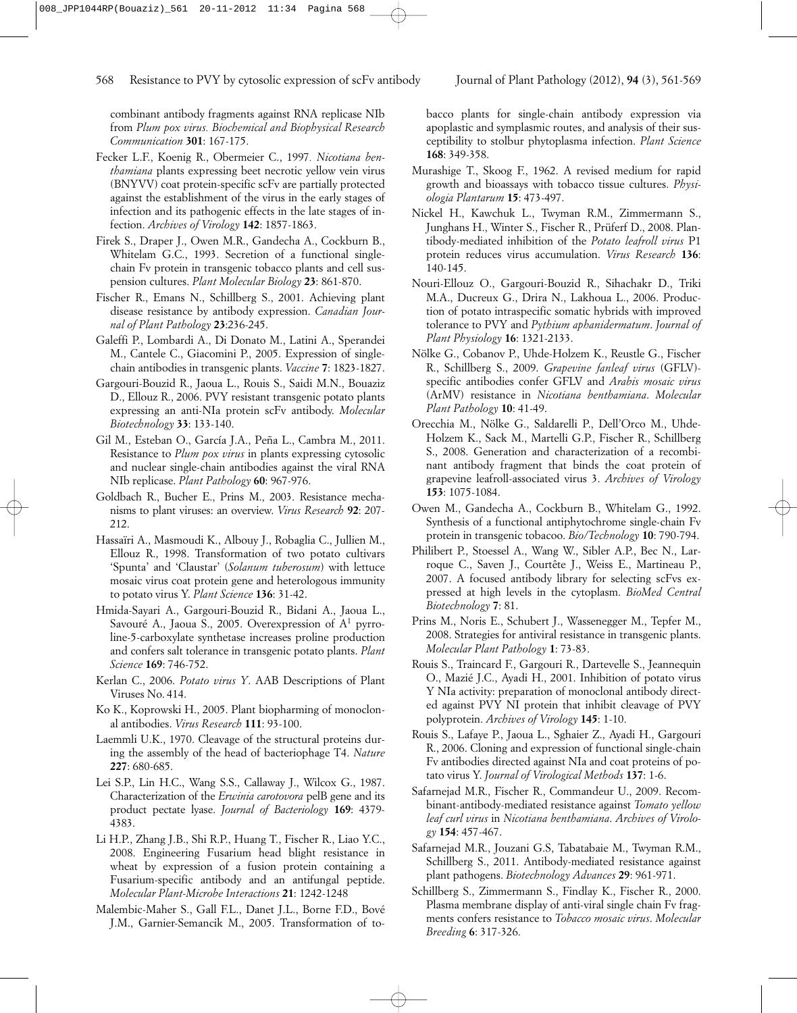combinant antibody fragments against RNA replicase NIb from *Plum pox virus. Biochemical and Biophysical Research Communication* **301**: 167-175.

- Fecker L.F., Koenig R., Obermeier C., 1997*. Nicotiana benthamiana* plants expressing beet necrotic yellow vein virus (BNYVV) coat protein-specific scFv are partially protected against the establishment of the virus in the early stages of infection and its pathogenic effects in the late stages of infection. *Archives of Virology* **142**: 1857-1863.
- Firek S., Draper J., Owen M.R., Gandecha A., Cockburn B., Whitelam G.C., 1993. Secretion of a functional singlechain Fv protein in transgenic tobacco plants and cell suspension cultures. *Plant Molecular Biology* **23**: 861-870.
- Fischer R., Emans N., Schillberg S., 2001. Achieving plant disease resistance by antibody expression. *Canadian Journal of Plant Pathology* **23**:236-245.
- Galeffi P., Lombardi A., Di Donato M., Latini A., Sperandei M., Cantele C., Giacomini P., 2005. Expression of singlechain antibodies in transgenic plants. *Vaccine* **7**: 1823-1827.
- Gargouri-Bouzid R., Jaoua L., Rouis S., Saidi M.N., Bouaziz D., Ellouz R., 2006. PVY resistant transgenic potato plants expressing an anti-NIa protein scFv antibody. *Molecular Biotechnology* **33**: 133-140.
- Gil M., Esteban O., García J.A., Peña L., Cambra M., 2011. Resistance to *Plum pox virus* in plants expressing cytosolic and nuclear single-chain antibodies against the viral RNA NIb replicase. *Plant Pathology* **60**: 967-976.
- Goldbach R., Bucher E., Prins M., 2003. Resistance mechanisms to plant viruses: an overview. *Virus Research* **92**: 207- 212.
- Hassaïri A., Masmoudi K., Albouy J., Robaglia C., Jullien M., Ellouz R., 1998. Transformation of two potato cultivars 'Spunta' and 'Claustar' (*Solanum tuberosum*) with lettuce mosaic virus coat protein gene and heterologous immunity to potato virus Y. *Plant Science* **136**: 31-42.
- Hmida-Sayari A., Gargouri-Bouzid R., Bidani A., Jaoua L., Savouré A., Jaoua S., 2005. Overexpression of A1 pyrroline-5-carboxylate synthetase increases proline production and confers salt tolerance in transgenic potato plants. *Plant Science* **169**: 746-752.
- Kerlan C., 2006. *Potato virus Y*. AAB Descriptions of Plant Viruses No. 414.
- Ko K., Koprowski H., 2005. Plant biopharming of monoclonal antibodies. *Virus Research* **111**: 93-100.
- Laemmli U.K., 1970. Cleavage of the structural proteins during the assembly of the head of bacteriophage T4. *Nature* **227**: 680-685.
- Lei S.P., Lin H.C., Wang S.S., Callaway J., Wilcox G., 1987. Characterization of the *Erwinia carotovora* pelB gene and its product pectate lyase. *Journal of Bacteriology* **169**: 4379- 4383.
- Li H.P., Zhang J.B., Shi R.P., Huang T., Fischer R., Liao Y.C., 2008. Engineering Fusarium head blight resistance in wheat by expression of a fusion protein containing a Fusarium-specific antibody and an antifungal peptide. *Molecular Plant-Microbe Interactions* **21**: 1242-1248
- Malembic-Maher S., Gall F.L., Danet J.L., Borne F.D., Bové J.M., Garnier-Semancik M., 2005. Transformation of to-

bacco plants for single-chain antibody expression via apoplastic and symplasmic routes, and analysis of their susceptibility to stolbur phytoplasma infection. *Plant Science* **168**: 349-358.

- Murashige T., Skoog F., 1962. A revised medium for rapid growth and bioassays with tobacco tissue cultures. *Physiologia Plantarum* **15**: 473-497.
- Nickel H., Kawchuk L., Twyman R.M., Zimmermann S., Junghans H., Winter S., Fischer R., Prüferf D., 2008. Plantibody-mediated inhibition of the *Potato leafroll virus* P1 protein reduces virus accumulation. *Virus Research* **136**: 140-145.
- Nouri-Ellouz O., Gargouri-Bouzid R., Sihachakr D., Triki M.A., Ducreux G., Drira N., Lakhoua L., 2006. Production of potato intraspecific somatic hybrids with improved tolerance to PVY and *Pythium aphanidermatum*. *Journal of Plant Physiology* **16**: 1321-2133.
- Nölke G., Cobanov P., Uhde-Holzem K., Reustle G., Fischer R., Schillberg S., 2009. *Grapevine fanleaf virus* (GFLV) specific antibodies confer GFLV and *Arabis mosaic virus* (ArMV) resistance in *Nicotiana benthamiana*. *Molecular Plant Pathology* **10**: 41-49.
- Orecchia M., Nölke G., Saldarelli P., Dell'Orco M., Uhde-Holzem K., Sack M., Martelli G.P., Fischer R., Schillberg S., 2008. Generation and characterization of a recombinant antibody fragment that binds the coat protein of grapevine leafroll-associated virus 3. *Archives of Virology* **153**: 1075-1084.
- Owen M., Gandecha A., Cockburn B., Whitelam G., 1992. Synthesis of a functional antiphytochrome single-chain Fv protein in transgenic tobacoo. *Bio/Technology* **10**: 790-794.
- Philibert P., Stoessel A., Wang W., Sibler A.P., Bec N., Larroque C., Saven J., Courtête J., Weiss E., Martineau P., 2007. A focused antibody library for selecting scFvs expressed at high levels in the cytoplasm. *BioMed Central Biotechnology* **7**: 81.
- Prins M., Noris E., Schubert J., Wassenegger M., Tepfer M., 2008. Strategies for antiviral resistance in transgenic plants. *Molecular Plant Pathology* **1**: 73-83.
- Rouis S., Traincard F., Gargouri R., Dartevelle S., Jeannequin O., Mazié J.C., Ayadi H., 2001. Inhibition of potato virus Y NIa activity: preparation of monoclonal antibody directed against PVY NI protein that inhibit cleavage of PVY polyprotein. *Archives of Virology* **145**: 1-10.
- Rouis S., Lafaye P., Jaoua L., Sghaier Z., Ayadi H., Gargouri R., 2006. Cloning and expression of functional single-chain Fv antibodies directed against NIa and coat proteins of potato virus Y. *Journal of Virological Methods* **137**: 1-6.
- Safarnejad M.R., Fischer R., Commandeur U., 2009. Recombinant-antibody-mediated resistance against *Tomato yellow leaf curl virus* in *Nicotiana benthamiana*. *Archives of Virology* **154**: 457-467.
- Safarnejad M.R., Jouzani G.S, Tabatabaie M., Twyman R.M., Schillberg S., 2011. Antibody-mediated resistance against plant pathogens. *Biotechnology Advances* **29**: 961-971.
- Schillberg S., Zimmermann S., Findlay K., Fischer R., 2000. Plasma membrane display of anti-viral single chain Fv fragments confers resistance to *Tobacco mosaic virus*. *Molecular Breeding* **6**: 317-326.